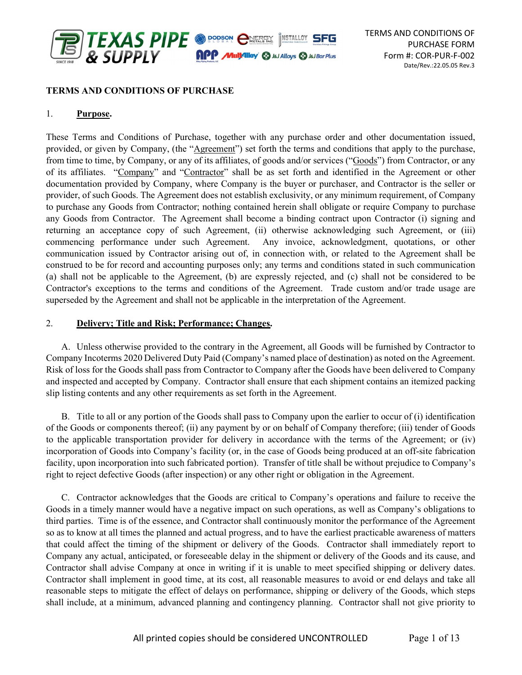

### TERMS AND CONDITIONS OF PURCHASE

### 1. Purpose.

These Terms and Conditions of Purchase, together with any purchase order and other documentation issued, provided, or given by Company, (the "Agreement") set forth the terms and conditions that apply to the purchase, from time to time, by Company, or any of its affiliates, of goods and/or services ("Goods") from Contractor, or any of its affiliates. "Company" and "Contractor" shall be as set forth and identified in the Agreement or other documentation provided by Company, where Company is the buyer or purchaser, and Contractor is the seller or provider, of such Goods. The Agreement does not establish exclusivity, or any minimum requirement, of Company to purchase any Goods from Contractor; nothing contained herein shall obligate or require Company to purchase any Goods from Contractor. The Agreement shall become a binding contract upon Contractor (i) signing and returning an acceptance copy of such Agreement, (ii) otherwise acknowledging such Agreement, or (iii) commencing performance under such Agreement. Any invoice, acknowledgment, quotations, or other communication issued by Contractor arising out of, in connection with, or related to the Agreement shall be construed to be for record and accounting purposes only; any terms and conditions stated in such communication (a) shall not be applicable to the Agreement, (b) are expressly rejected, and (c) shall not be considered to be Contractor's exceptions to the terms and conditions of the Agreement. Trade custom and/or trade usage are superseded by the Agreement and shall not be applicable in the interpretation of the Agreement.

### 2. Delivery; Title and Risk; Performance; Changes.

A. Unless otherwise provided to the contrary in the Agreement, all Goods will be furnished by Contractor to Company Incoterms 2020 Delivered Duty Paid (Company's named place of destination) as noted on the Agreement. Risk of loss for the Goods shall pass from Contractor to Company after the Goods have been delivered to Company and inspected and accepted by Company. Contractor shall ensure that each shipment contains an itemized packing slip listing contents and any other requirements as set forth in the Agreement.

B. Title to all or any portion of the Goods shall pass to Company upon the earlier to occur of (i) identification of the Goods or components thereof; (ii) any payment by or on behalf of Company therefore; (iii) tender of Goods to the applicable transportation provider for delivery in accordance with the terms of the Agreement; or (iv) incorporation of Goods into Company's facility (or, in the case of Goods being produced at an off-site fabrication facility, upon incorporation into such fabricated portion). Transfer of title shall be without prejudice to Company's right to reject defective Goods (after inspection) or any other right or obligation in the Agreement.

C. Contractor acknowledges that the Goods are critical to Company's operations and failure to receive the Goods in a timely manner would have a negative impact on such operations, as well as Company's obligations to third parties. Time is of the essence, and Contractor shall continuously monitor the performance of the Agreement so as to know at all times the planned and actual progress, and to have the earliest practicable awareness of matters that could affect the timing of the shipment or delivery of the Goods. Contractor shall immediately report to Company any actual, anticipated, or foreseeable delay in the shipment or delivery of the Goods and its cause, and Contractor shall advise Company at once in writing if it is unable to meet specified shipping or delivery dates. Contractor shall implement in good time, at its cost, all reasonable measures to avoid or end delays and take all reasonable steps to mitigate the effect of delays on performance, shipping or delivery of the Goods, which steps shall include, at a minimum, advanced planning and contingency planning. Contractor shall not give priority to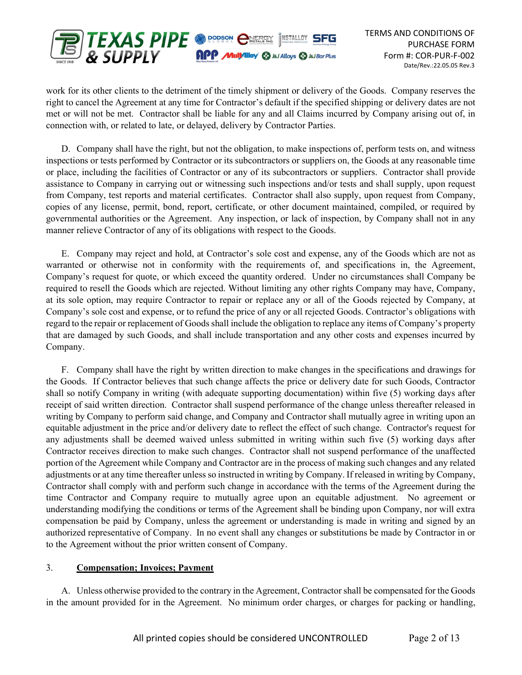

work for its other clients to the detriment of the timely shipment or delivery of the Goods. Company reserves the right to cancel the Agreement at any time for Contractor's default if the specified shipping or delivery dates are not met or will not be met. Contractor shall be liable for any and all Claims incurred by Company arising out of, in connection with, or related to late, or delayed, delivery by Contractor Parties.

D. Company shall have the right, but not the obligation, to make inspections of, perform tests on, and witness inspections or tests performed by Contractor or its subcontractors or suppliers on, the Goods at any reasonable time or place, including the facilities of Contractor or any of its subcontractors or suppliers. Contractor shall provide assistance to Company in carrying out or witnessing such inspections and/or tests and shall supply, upon request from Company, test reports and material certificates. Contractor shall also supply, upon request from Company, copies of any license, permit, bond, report, certificate, or other document maintained, compiled, or required by governmental authorities or the Agreement. Any inspection, or lack of inspection, by Company shall not in any manner relieve Contractor of any of its obligations with respect to the Goods.

E. Company may reject and hold, at Contractor's sole cost and expense, any of the Goods which are not as warranted or otherwise not in conformity with the requirements of, and specifications in, the Agreement, Company's request for quote, or which exceed the quantity ordered. Under no circumstances shall Company be required to resell the Goods which are rejected. Without limiting any other rights Company may have, Company, at its sole option, may require Contractor to repair or replace any or all of the Goods rejected by Company, at Company's sole cost and expense, or to refund the price of any or all rejected Goods. Contractor's obligations with regard to the repair or replacement of Goods shall include the obligation to replace any items of Company's property that are damaged by such Goods, and shall include transportation and any other costs and expenses incurred by Company.

F. Company shall have the right by written direction to make changes in the specifications and drawings for the Goods. If Contractor believes that such change affects the price or delivery date for such Goods, Contractor shall so notify Company in writing (with adequate supporting documentation) within five (5) working days after receipt of said written direction. Contractor shall suspend performance of the change unless thereafter released in writing by Company to perform said change, and Company and Contractor shall mutually agree in writing upon an equitable adjustment in the price and/or delivery date to reflect the effect of such change. Contractor's request for any adjustments shall be deemed waived unless submitted in writing within such five (5) working days after Contractor receives direction to make such changes. Contractor shall not suspend performance of the unaffected portion of the Agreement while Company and Contractor are in the process of making such changes and any related adjustments or at any time thereafter unless so instructed in writing by Company. If released in writing by Company, Contractor shall comply with and perform such change in accordance with the terms of the Agreement during the time Contractor and Company require to mutually agree upon an equitable adjustment. No agreement or understanding modifying the conditions or terms of the Agreement shall be binding upon Company, nor will extra compensation be paid by Company, unless the agreement or understanding is made in writing and signed by an authorized representative of Company. In no event shall any changes or substitutions be made by Contractor in or to the Agreement without the prior written consent of Company.

### 3. Compensation; Invoices; Payment

A. Unless otherwise provided to the contrary in the Agreement, Contractor shall be compensated for the Goods in the amount provided for in the Agreement. No minimum order charges, or charges for packing or handling,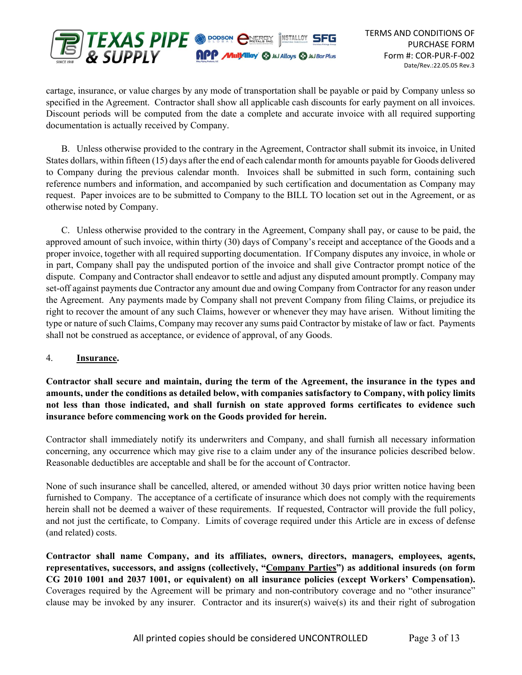

cartage, insurance, or value charges by any mode of transportation shall be payable or paid by Company unless so specified in the Agreement. Contractor shall show all applicable cash discounts for early payment on all invoices. Discount periods will be computed from the date a complete and accurate invoice with all required supporting documentation is actually received by Company.

B. Unless otherwise provided to the contrary in the Agreement, Contractor shall submit its invoice, in United States dollars, within fifteen (15) days after the end of each calendar month for amounts payable for Goods delivered to Company during the previous calendar month. Invoices shall be submitted in such form, containing such reference numbers and information, and accompanied by such certification and documentation as Company may request. Paper invoices are to be submitted to Company to the BILL TO location set out in the Agreement, or as otherwise noted by Company.

C. Unless otherwise provided to the contrary in the Agreement, Company shall pay, or cause to be paid, the approved amount of such invoice, within thirty (30) days of Company's receipt and acceptance of the Goods and a proper invoice, together with all required supporting documentation. If Company disputes any invoice, in whole or in part, Company shall pay the undisputed portion of the invoice and shall give Contractor prompt notice of the dispute. Company and Contractor shall endeavor to settle and adjust any disputed amount promptly. Company may set-off against payments due Contractor any amount due and owing Company from Contractor for any reason under the Agreement. Any payments made by Company shall not prevent Company from filing Claims, or prejudice its right to recover the amount of any such Claims, however or whenever they may have arisen. Without limiting the type or nature of such Claims, Company may recover any sums paid Contractor by mistake of law or fact. Payments shall not be construed as acceptance, or evidence of approval, of any Goods.

### 4. Insurance.

Contractor shall secure and maintain, during the term of the Agreement, the insurance in the types and amounts, under the conditions as detailed below, with companies satisfactory to Company, with policy limits not less than those indicated, and shall furnish on state approved forms certificates to evidence such insurance before commencing work on the Goods provided for herein.

Contractor shall immediately notify its underwriters and Company, and shall furnish all necessary information concerning, any occurrence which may give rise to a claim under any of the insurance policies described below. Reasonable deductibles are acceptable and shall be for the account of Contractor.

None of such insurance shall be cancelled, altered, or amended without 30 days prior written notice having been furnished to Company. The acceptance of a certificate of insurance which does not comply with the requirements herein shall not be deemed a waiver of these requirements. If requested, Contractor will provide the full policy, and not just the certificate, to Company. Limits of coverage required under this Article are in excess of defense (and related) costs.

Contractor shall name Company, and its affiliates, owners, directors, managers, employees, agents, representatives, successors, and assigns (collectively, "Company Parties") as additional insureds (on form CG 2010 1001 and 2037 1001, or equivalent) on all insurance policies (except Workers' Compensation). Coverages required by the Agreement will be primary and non-contributory coverage and no "other insurance" clause may be invoked by any insurer. Contractor and its insurer(s) waive(s) its and their right of subrogation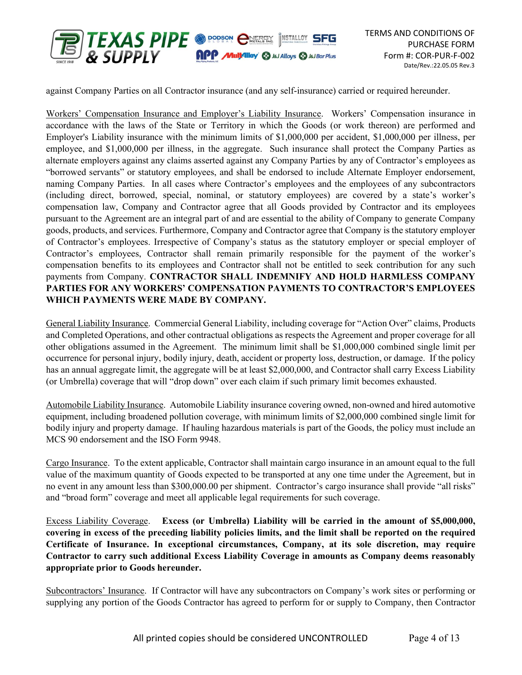

against Company Parties on all Contractor insurance (and any self-insurance) carried or required hereunder.

Workers' Compensation Insurance and Employer's Liability Insurance. Workers' Compensation insurance in accordance with the laws of the State or Territory in which the Goods (or work thereon) are performed and Employer's Liability insurance with the minimum limits of \$1,000,000 per accident, \$1,000,000 per illness, per employee, and \$1,000,000 per illness, in the aggregate. Such insurance shall protect the Company Parties as alternate employers against any claims asserted against any Company Parties by any of Contractor's employees as "borrowed servants" or statutory employees, and shall be endorsed to include Alternate Employer endorsement, naming Company Parties. In all cases where Contractor's employees and the employees of any subcontractors (including direct, borrowed, special, nominal, or statutory employees) are covered by a state's worker's compensation law, Company and Contractor agree that all Goods provided by Contractor and its employees pursuant to the Agreement are an integral part of and are essential to the ability of Company to generate Company goods, products, and services. Furthermore, Company and Contractor agree that Company is the statutory employer of Contractor's employees. Irrespective of Company's status as the statutory employer or special employer of Contractor's employees, Contractor shall remain primarily responsible for the payment of the worker's compensation benefits to its employees and Contractor shall not be entitled to seek contribution for any such payments from Company. CONTRACTOR SHALL INDEMNIFY AND HOLD HARMLESS COMPANY PARTIES FOR ANY WORKERS' COMPENSATION PAYMENTS TO CONTRACTOR'S EMPLOYEES WHICH PAYMENTS WERE MADE BY COMPANY.

General Liability Insurance. Commercial General Liability, including coverage for "Action Over" claims, Products and Completed Operations, and other contractual obligations as respects the Agreement and proper coverage for all other obligations assumed in the Agreement. The minimum limit shall be \$1,000,000 combined single limit per occurrence for personal injury, bodily injury, death, accident or property loss, destruction, or damage. If the policy has an annual aggregate limit, the aggregate will be at least \$2,000,000, and Contractor shall carry Excess Liability (or Umbrella) coverage that will "drop down" over each claim if such primary limit becomes exhausted.

Automobile Liability Insurance. Automobile Liability insurance covering owned, non-owned and hired automotive equipment, including broadened pollution coverage, with minimum limits of \$2,000,000 combined single limit for bodily injury and property damage. If hauling hazardous materials is part of the Goods, the policy must include an MCS 90 endorsement and the ISO Form 9948.

Cargo Insurance. To the extent applicable, Contractor shall maintain cargo insurance in an amount equal to the full value of the maximum quantity of Goods expected to be transported at any one time under the Agreement, but in no event in any amount less than \$300,000.00 per shipment. Contractor's cargo insurance shall provide "all risks" and "broad form" coverage and meet all applicable legal requirements for such coverage.

Excess Liability Coverage. Excess (or Umbrella) Liability will be carried in the amount of \$5,000,000, covering in excess of the preceding liability policies limits, and the limit shall be reported on the required Certificate of Insurance. In exceptional circumstances, Company, at its sole discretion, may require Contractor to carry such additional Excess Liability Coverage in amounts as Company deems reasonably appropriate prior to Goods hereunder.

Subcontractors' Insurance. If Contractor will have any subcontractors on Company's work sites or performing or supplying any portion of the Goods Contractor has agreed to perform for or supply to Company, then Contractor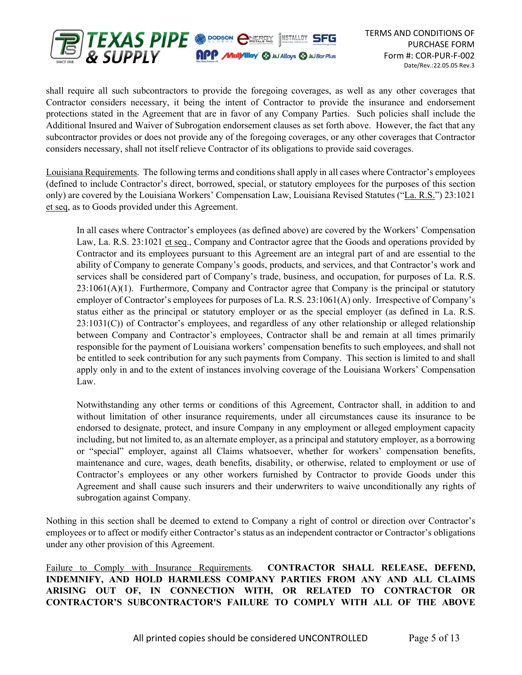

shall require all such subcontractors to provide the foregoing coverages, as well as any other coverages that Contractor considers necessary, it being the intent of Contractor to provide the insurance and endorsement protections stated in the Agreement that are in favor of any Company Parties. Such policies shall include the Additional Insured and Waiver of Subrogation endorsement clauses as set forth above. However, the fact that any subcontractor provides or does not provide any of the foregoing coverages, or any other coverages that Contractor considers necessary, shall not itself relieve Contractor of its obligations to provide said coverages.

Louisiana Requirements. The following terms and conditions shall apply in all cases where Contractor's employees (defined to include Contractor's direct, borrowed, special, or statutory employees for the purposes of this section only) are covered by the Louisiana Workers' Compensation Law, Louisiana Revised Statutes ("La. R.S.") 23:1021 et seq, as to Goods provided under this Agreement.

In all cases where Contractor's employees (as defined above) are covered by the Workers' Compensation Law, La. R.S. 23:1021 et seq., Company and Contractor agree that the Goods and operations provided by Contractor and its employees pursuant to this Agreement are an integral part of and are essential to the ability of Company to generate Company's goods, products, and services, and that Contractor's work and services shall be considered part of Company's trade, business, and occupation, for purposes of La. R.S.  $23:1061(A)(1)$ . Furthermore, Company and Contractor agree that Company is the principal or statutory employer of Contractor's employees for purposes of La. R.S. 23:1061(A) only. Irrespective of Company's status either as the principal or statutory employer or as the special employer (as defined in La. R.S. 23:1031(C)) of Contractor's employees, and regardless of any other relationship or alleged relationship between Company and Contractor's employees, Contractor shall be and remain at all times primarily responsible for the payment of Louisiana workers' compensation benefits to such employees, and shall not be entitled to seek contribution for any such payments from Company. This section is limited to and shall apply only in and to the extent of instances involving coverage of the Louisiana Workers' Compensation Law.

Notwithstanding any other terms or conditions of this Agreement, Contractor shall, in addition to and without limitation of other insurance requirements, under all circumstances cause its insurance to be endorsed to designate, protect, and insure Company in any employment or alleged employment capacity including, but not limited to, as an alternate employer, as a principal and statutory employer, as a borrowing or "special" employer, against all Claims whatsoever, whether for workers' compensation benefits, maintenance and cure, wages, death benefits, disability, or otherwise, related to employment or use of Contractor's employees or any other workers furnished by Contractor to provide Goods under this Agreement and shall cause such insurers and their underwriters to waive unconditionally any rights of subrogation against Company.

Nothing in this section shall be deemed to extend to Company a right of control or direction over Contractor's employees or to affect or modify either Contractor's status as an independent contractor or Contractor's obligations under any other provision of this Agreement.

Failure to Comply with Insurance Requirements. CONTRACTOR SHALL RELEASE, DEFEND, INDEMNIFY, AND HOLD HARMLESS COMPANY PARTIES FROM ANY AND ALL CLAIMS ARISING OUT OF, IN CONNECTION WITH, OR RELATED TO CONTRACTOR OR CONTRACTOR'S SUBCONTRACTOR'S FAILURE TO COMPLY WITH ALL OF THE ABOVE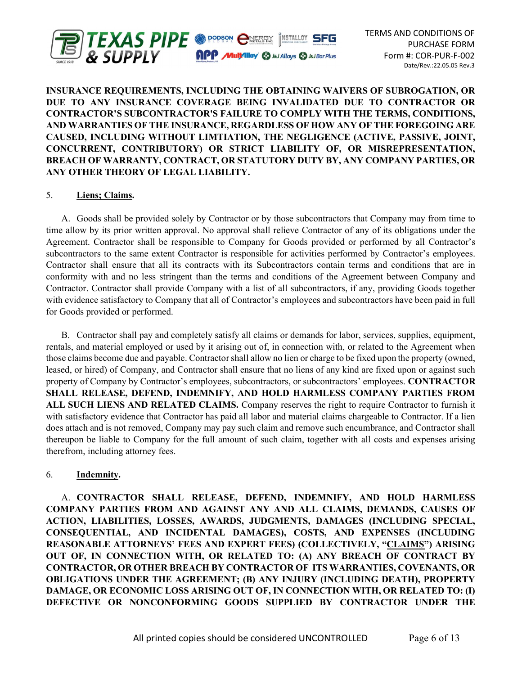

# INSURANCE REQUIREMENTS, INCLUDING THE OBTAINING WAIVERS OF SUBROGATION, OR DUE TO ANY INSURANCE COVERAGE BEING INVALIDATED DUE TO CONTRACTOR OR CONTRACTOR'S SUBCONTRACTOR'S FAILURE TO COMPLY WITH THE TERMS, CONDITIONS, AND WARRANTIES OF THE INSURANCE, REGARDLESS OF HOW ANY OF THE FOREGOING ARE CAUSED, INCLUDING WITHOUT LIMTIATION, THE NEGLIGENCE (ACTIVE, PASSIVE, JOINT, CONCURRENT, CONTRIBUTORY) OR STRICT LIABILITY OF, OR MISREPRESENTATION, BREACH OF WARRANTY, CONTRACT, OR STATUTORY DUTY BY, ANY COMPANY PARTIES, OR ANY OTHER THEORY OF LEGAL LIABILITY.

## 5. Liens; Claims.

A. Goods shall be provided solely by Contractor or by those subcontractors that Company may from time to time allow by its prior written approval. No approval shall relieve Contractor of any of its obligations under the Agreement. Contractor shall be responsible to Company for Goods provided or performed by all Contractor's subcontractors to the same extent Contractor is responsible for activities performed by Contractor's employees. Contractor shall ensure that all its contracts with its Subcontractors contain terms and conditions that are in conformity with and no less stringent than the terms and conditions of the Agreement between Company and Contractor. Contractor shall provide Company with a list of all subcontractors, if any, providing Goods together with evidence satisfactory to Company that all of Contractor's employees and subcontractors have been paid in full for Goods provided or performed.

B. Contractor shall pay and completely satisfy all claims or demands for labor, services, supplies, equipment, rentals, and material employed or used by it arising out of, in connection with, or related to the Agreement when those claims become due and payable. Contractor shall allow no lien or charge to be fixed upon the property (owned, leased, or hired) of Company, and Contractor shall ensure that no liens of any kind are fixed upon or against such property of Company by Contractor's employees, subcontractors, or subcontractors' employees. CONTRACTOR SHALL RELEASE, DEFEND, INDEMNIFY, AND HOLD HARMLESS COMPANY PARTIES FROM ALL SUCH LIENS AND RELATED CLAIMS. Company reserves the right to require Contractor to furnish it with satisfactory evidence that Contractor has paid all labor and material claims chargeable to Contractor. If a lien does attach and is not removed, Company may pay such claim and remove such encumbrance, and Contractor shall thereupon be liable to Company for the full amount of such claim, together with all costs and expenses arising therefrom, including attorney fees.

#### 6. Indemnity.

A. CONTRACTOR SHALL RELEASE, DEFEND, INDEMNIFY, AND HOLD HARMLESS COMPANY PARTIES FROM AND AGAINST ANY AND ALL CLAIMS, DEMANDS, CAUSES OF ACTION, LIABILITIES, LOSSES, AWARDS, JUDGMENTS, DAMAGES (INCLUDING SPECIAL, CONSEQUENTIAL, AND INCIDENTAL DAMAGES), COSTS, AND EXPENSES (INCLUDING REASONABLE ATTORNEYS' FEES AND EXPERT FEES) (COLLECTIVELY, "CLAIMS") ARISING OUT OF, IN CONNECTION WITH, OR RELATED TO: (A) ANY BREACH OF CONTRACT BY CONTRACTOR, OR OTHER BREACH BY CONTRACTOR OF ITS WARRANTIES, COVENANTS, OR OBLIGATIONS UNDER THE AGREEMENT; (B) ANY INJURY (INCLUDING DEATH), PROPERTY DAMAGE, OR ECONOMIC LOSS ARISING OUT OF, IN CONNECTION WITH, OR RELATED TO: (I) DEFECTIVE OR NONCONFORMING GOODS SUPPLIED BY CONTRACTOR UNDER THE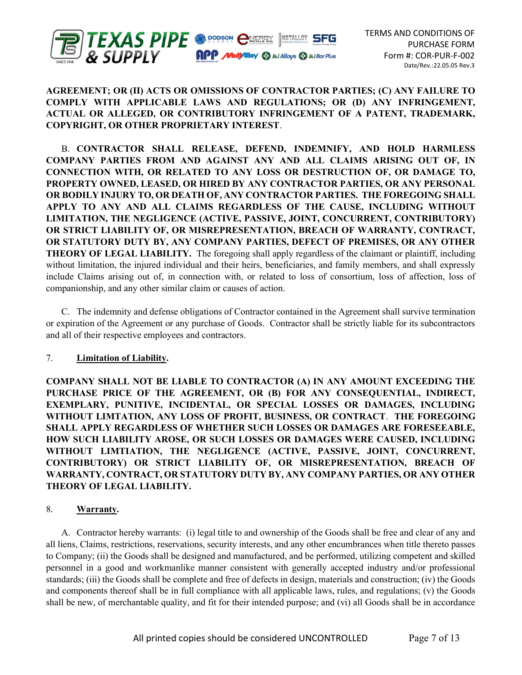

## AGREEMENT; OR (II) ACTS OR OMISSIONS OF CONTRACTOR PARTIES; (C) ANY FAILURE TO COMPLY WITH APPLICABLE LAWS AND REGULATIONS; OR (D) ANY INFRINGEMENT, ACTUAL OR ALLEGED, OR CONTRIBUTORY INFRINGEMENT OF A PATENT, TRADEMARK, COPYRIGHT, OR OTHER PROPRIETARY INTEREST.

B. CONTRACTOR SHALL RELEASE, DEFEND, INDEMNIFY, AND HOLD HARMLESS COMPANY PARTIES FROM AND AGAINST ANY AND ALL CLAIMS ARISING OUT OF, IN CONNECTION WITH, OR RELATED TO ANY LOSS OR DESTRUCTION OF, OR DAMAGE TO, PROPERTY OWNED, LEASED, OR HIRED BY ANY CONTRACTOR PARTIES, OR ANY PERSONAL OR BODILY INJURY TO, OR DEATH OF, ANY CONTRACTOR PARTIES. THE FOREGOING SHALL APPLY TO ANY AND ALL CLAIMS REGARDLESS OF THE CAUSE, INCLUDING WITHOUT LIMITATION, THE NEGLIGENCE (ACTIVE, PASSIVE, JOINT, CONCURRENT, CONTRIBUTORY) OR STRICT LIABILITY OF, OR MISREPRESENTATION, BREACH OF WARRANTY, CONTRACT, OR STATUTORY DUTY BY, ANY COMPANY PARTIES, DEFECT OF PREMISES, OR ANY OTHER THEORY OF LEGAL LIABILITY. The foregoing shall apply regardless of the claimant or plaintiff, including without limitation, the injured individual and their heirs, beneficiaries, and family members, and shall expressly include Claims arising out of, in connection with, or related to loss of consortium, loss of affection, loss of companionship, and any other similar claim or causes of action.

C. The indemnity and defense obligations of Contractor contained in the Agreement shall survive termination or expiration of the Agreement or any purchase of Goods. Contractor shall be strictly liable for its subcontractors and all of their respective employees and contractors.

## 7. Limitation of Liability.

COMPANY SHALL NOT BE LIABLE TO CONTRACTOR (A) IN ANY AMOUNT EXCEEDING THE PURCHASE PRICE OF THE AGREEMENT, OR (B) FOR ANY CONSEQUENTIAL, INDIRECT, EXEMPLARY, PUNITIVE, INCIDENTAL, OR SPECIAL LOSSES OR DAMAGES, INCLUDING WITHOUT LIMTATION, ANY LOSS OF PROFIT, BUSINESS, OR CONTRACT. THE FOREGOING SHALL APPLY REGARDLESS OF WHETHER SUCH LOSSES OR DAMAGES ARE FORESEEABLE, HOW SUCH LIABILITY AROSE, OR SUCH LOSSES OR DAMAGES WERE CAUSED, INCLUDING WITHOUT LIMTIATION, THE NEGLIGENCE (ACTIVE, PASSIVE, JOINT, CONCURRENT, CONTRIBUTORY) OR STRICT LIABILITY OF, OR MISREPRESENTATION, BREACH OF WARRANTY, CONTRACT, OR STATUTORY DUTY BY, ANY COMPANY PARTIES, OR ANY OTHER THEORY OF LEGAL LIABILITY.

### 8. Warranty.

A. Contractor hereby warrants: (i) legal title to and ownership of the Goods shall be free and clear of any and all liens, Claims, restrictions, reservations, security interests, and any other encumbrances when title thereto passes to Company; (ii) the Goods shall be designed and manufactured, and be performed, utilizing competent and skilled personnel in a good and workmanlike manner consistent with generally accepted industry and/or professional standards; (iii) the Goods shall be complete and free of defects in design, materials and construction; (iv) the Goods and components thereof shall be in full compliance with all applicable laws, rules, and regulations; (v) the Goods shall be new, of merchantable quality, and fit for their intended purpose; and (vi) all Goods shall be in accordance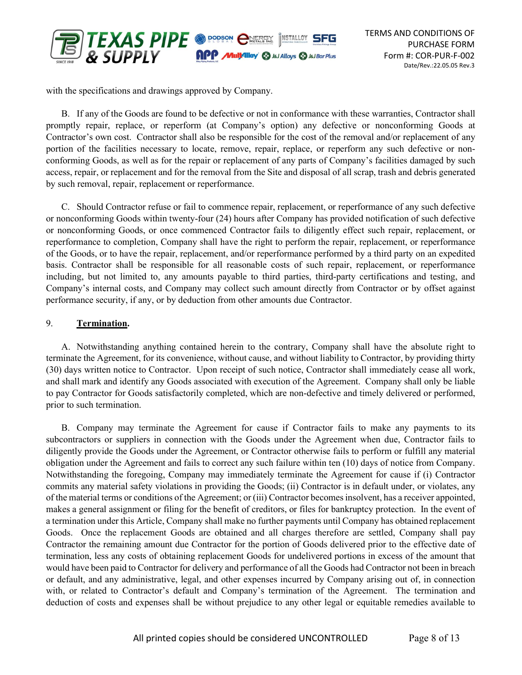

with the specifications and drawings approved by Company.

B. If any of the Goods are found to be defective or not in conformance with these warranties, Contractor shall promptly repair, replace, or reperform (at Company's option) any defective or nonconforming Goods at Contractor's own cost. Contractor shall also be responsible for the cost of the removal and/or replacement of any portion of the facilities necessary to locate, remove, repair, replace, or reperform any such defective or nonconforming Goods, as well as for the repair or replacement of any parts of Company's facilities damaged by such access, repair, or replacement and for the removal from the Site and disposal of all scrap, trash and debris generated by such removal, repair, replacement or reperformance.

C. Should Contractor refuse or fail to commence repair, replacement, or reperformance of any such defective or nonconforming Goods within twenty-four (24) hours after Company has provided notification of such defective or nonconforming Goods, or once commenced Contractor fails to diligently effect such repair, replacement, or reperformance to completion, Company shall have the right to perform the repair, replacement, or reperformance of the Goods, or to have the repair, replacement, and/or reperformance performed by a third party on an expedited basis. Contractor shall be responsible for all reasonable costs of such repair, replacement, or reperformance including, but not limited to, any amounts payable to third parties, third-party certifications and testing, and Company's internal costs, and Company may collect such amount directly from Contractor or by offset against performance security, if any, or by deduction from other amounts due Contractor.

### 9. Termination.

A. Notwithstanding anything contained herein to the contrary, Company shall have the absolute right to terminate the Agreement, for its convenience, without cause, and without liability to Contractor, by providing thirty (30) days written notice to Contractor. Upon receipt of such notice, Contractor shall immediately cease all work, and shall mark and identify any Goods associated with execution of the Agreement. Company shall only be liable to pay Contractor for Goods satisfactorily completed, which are non-defective and timely delivered or performed, prior to such termination.

B. Company may terminate the Agreement for cause if Contractor fails to make any payments to its subcontractors or suppliers in connection with the Goods under the Agreement when due, Contractor fails to diligently provide the Goods under the Agreement, or Contractor otherwise fails to perform or fulfill any material obligation under the Agreement and fails to correct any such failure within ten (10) days of notice from Company. Notwithstanding the foregoing, Company may immediately terminate the Agreement for cause if (i) Contractor commits any material safety violations in providing the Goods; (ii) Contractor is in default under, or violates, any of the material terms or conditions of the Agreement; or (iii) Contractor becomes insolvent, has a receiver appointed, makes a general assignment or filing for the benefit of creditors, or files for bankruptcy protection. In the event of a termination under this Article, Company shall make no further payments until Company has obtained replacement Goods. Once the replacement Goods are obtained and all charges therefore are settled, Company shall pay Contractor the remaining amount due Contractor for the portion of Goods delivered prior to the effective date of termination, less any costs of obtaining replacement Goods for undelivered portions in excess of the amount that would have been paid to Contractor for delivery and performance of all the Goods had Contractor not been in breach or default, and any administrative, legal, and other expenses incurred by Company arising out of, in connection with, or related to Contractor's default and Company's termination of the Agreement. The termination and deduction of costs and expenses shall be without prejudice to any other legal or equitable remedies available to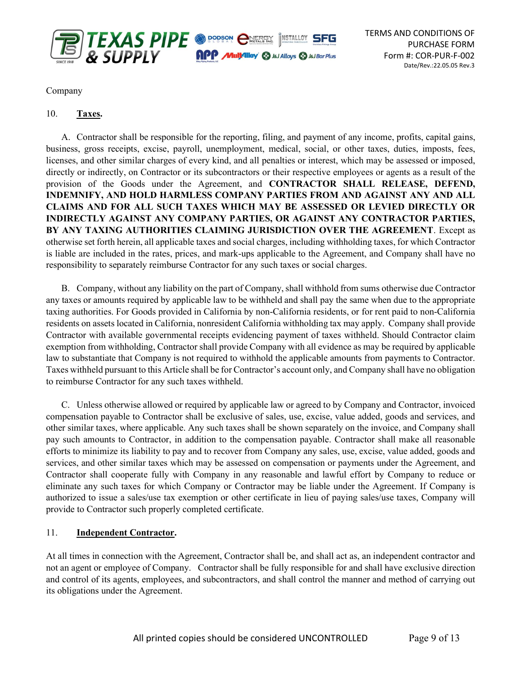

Company

## 10. Taxes.

A. Contractor shall be responsible for the reporting, filing, and payment of any income, profits, capital gains, business, gross receipts, excise, payroll, unemployment, medical, social, or other taxes, duties, imposts, fees, licenses, and other similar charges of every kind, and all penalties or interest, which may be assessed or imposed, directly or indirectly, on Contractor or its subcontractors or their respective employees or agents as a result of the provision of the Goods under the Agreement, and CONTRACTOR SHALL RELEASE, DEFEND, INDEMNIFY, AND HOLD HARMLESS COMPANY PARTIES FROM AND AGAINST ANY AND ALL CLAIMS AND FOR ALL SUCH TAXES WHICH MAY BE ASSESSED OR LEVIED DIRECTLY OR INDIRECTLY AGAINST ANY COMPANY PARTIES, OR AGAINST ANY CONTRACTOR PARTIES, BY ANY TAXING AUTHORITIES CLAIMING JURISDICTION OVER THE AGREEMENT. Except as otherwise set forth herein, all applicable taxes and social charges, including withholding taxes, for which Contractor is liable are included in the rates, prices, and mark-ups applicable to the Agreement, and Company shall have no responsibility to separately reimburse Contractor for any such taxes or social charges.

B. Company, without any liability on the part of Company, shall withhold from sums otherwise due Contractor any taxes or amounts required by applicable law to be withheld and shall pay the same when due to the appropriate taxing authorities. For Goods provided in California by non-California residents, or for rent paid to non-California residents on assets located in California, nonresident California withholding tax may apply. Company shall provide Contractor with available governmental receipts evidencing payment of taxes withheld. Should Contractor claim exemption from withholding, Contractor shall provide Company with all evidence as may be required by applicable law to substantiate that Company is not required to withhold the applicable amounts from payments to Contractor. Taxes withheld pursuant to this Article shall be for Contractor's account only, and Company shall have no obligation to reimburse Contractor for any such taxes withheld.

C. Unless otherwise allowed or required by applicable law or agreed to by Company and Contractor, invoiced compensation payable to Contractor shall be exclusive of sales, use, excise, value added, goods and services, and other similar taxes, where applicable. Any such taxes shall be shown separately on the invoice, and Company shall pay such amounts to Contractor, in addition to the compensation payable. Contractor shall make all reasonable efforts to minimize its liability to pay and to recover from Company any sales, use, excise, value added, goods and services, and other similar taxes which may be assessed on compensation or payments under the Agreement, and Contractor shall cooperate fully with Company in any reasonable and lawful effort by Company to reduce or eliminate any such taxes for which Company or Contractor may be liable under the Agreement. If Company is authorized to issue a sales/use tax exemption or other certificate in lieu of paying sales/use taxes, Company will provide to Contractor such properly completed certificate.

### 11. Independent Contractor.

At all times in connection with the Agreement, Contractor shall be, and shall act as, an independent contractor and not an agent or employee of Company. Contractor shall be fully responsible for and shall have exclusive direction and control of its agents, employees, and subcontractors, and shall control the manner and method of carrying out its obligations under the Agreement.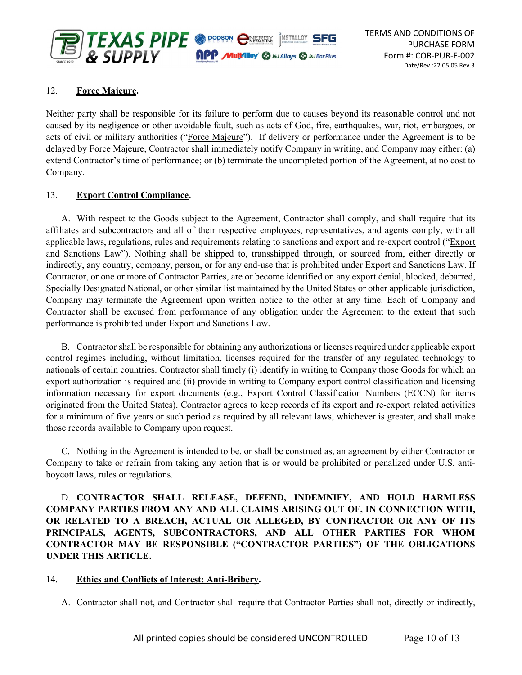

## 12. Force Majeure.

Neither party shall be responsible for its failure to perform due to causes beyond its reasonable control and not caused by its negligence or other avoidable fault, such as acts of God, fire, earthquakes, war, riot, embargoes, or acts of civil or military authorities ("Force Majeure"). If delivery or performance under the Agreement is to be delayed by Force Majeure, Contractor shall immediately notify Company in writing, and Company may either: (a) extend Contractor's time of performance; or (b) terminate the uncompleted portion of the Agreement, at no cost to Company.

### 13. Export Control Compliance.

A. With respect to the Goods subject to the Agreement, Contractor shall comply, and shall require that its affiliates and subcontractors and all of their respective employees, representatives, and agents comply, with all applicable laws, regulations, rules and requirements relating to sanctions and export and re-export control ("Export and Sanctions Law"). Nothing shall be shipped to, transshipped through, or sourced from, either directly or indirectly, any country, company, person, or for any end-use that is prohibited under Export and Sanctions Law. If Contractor, or one or more of Contractor Parties, are or become identified on any export denial, blocked, debarred, Specially Designated National, or other similar list maintained by the United States or other applicable jurisdiction, Company may terminate the Agreement upon written notice to the other at any time. Each of Company and Contractor shall be excused from performance of any obligation under the Agreement to the extent that such performance is prohibited under Export and Sanctions Law.

B. Contractor shall be responsible for obtaining any authorizations or licenses required under applicable export control regimes including, without limitation, licenses required for the transfer of any regulated technology to nationals of certain countries. Contractor shall timely (i) identify in writing to Company those Goods for which an export authorization is required and (ii) provide in writing to Company export control classification and licensing information necessary for export documents (e.g., Export Control Classification Numbers (ECCN) for items originated from the United States). Contractor agrees to keep records of its export and re-export related activities for a minimum of five years or such period as required by all relevant laws, whichever is greater, and shall make those records available to Company upon request.

C. Nothing in the Agreement is intended to be, or shall be construed as, an agreement by either Contractor or Company to take or refrain from taking any action that is or would be prohibited or penalized under U.S. antiboycott laws, rules or regulations.

D. CONTRACTOR SHALL RELEASE, DEFEND, INDEMNIFY, AND HOLD HARMLESS COMPANY PARTIES FROM ANY AND ALL CLAIMS ARISING OUT OF, IN CONNECTION WITH, OR RELATED TO A BREACH, ACTUAL OR ALLEGED, BY CONTRACTOR OR ANY OF ITS PRINCIPALS, AGENTS, SUBCONTRACTORS, AND ALL OTHER PARTIES FOR WHOM CONTRACTOR MAY BE RESPONSIBLE ("CONTRACTOR PARTIES") OF THE OBLIGATIONS UNDER THIS ARTICLE.

### 14. Ethics and Conflicts of Interest; Anti-Bribery.

A. Contractor shall not, and Contractor shall require that Contractor Parties shall not, directly or indirectly,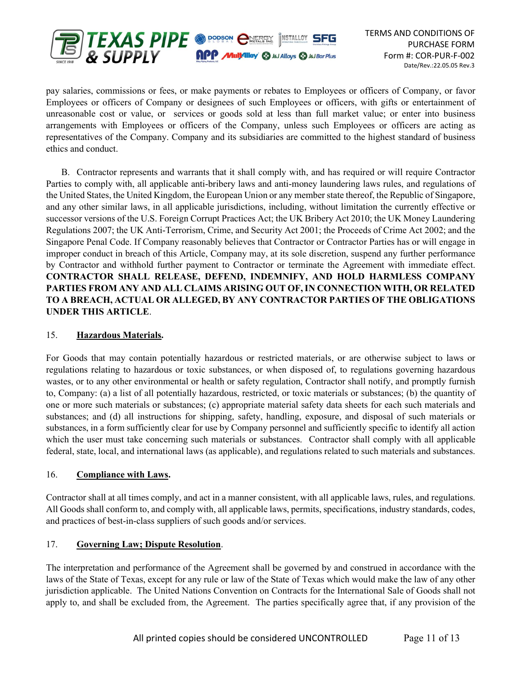

pay salaries, commissions or fees, or make payments or rebates to Employees or officers of Company, or favor Employees or officers of Company or designees of such Employees or officers, with gifts or entertainment of unreasonable cost or value, or services or goods sold at less than full market value; or enter into business arrangements with Employees or officers of the Company, unless such Employees or officers are acting as representatives of the Company. Company and its subsidiaries are committed to the highest standard of business ethics and conduct.

B. Contractor represents and warrants that it shall comply with, and has required or will require Contractor Parties to comply with, all applicable anti-bribery laws and anti-money laundering laws rules, and regulations of the United States, the United Kingdom, the European Union or any member state thereof, the Republic of Singapore, and any other similar laws, in all applicable jurisdictions, including, without limitation the currently effective or successor versions of the U.S. Foreign Corrupt Practices Act; the UK Bribery Act 2010; the UK Money Laundering Regulations 2007; the UK Anti-Terrorism, Crime, and Security Act 2001; the Proceeds of Crime Act 2002; and the Singapore Penal Code. If Company reasonably believes that Contractor or Contractor Parties has or will engage in improper conduct in breach of this Article, Company may, at its sole discretion, suspend any further performance by Contractor and withhold further payment to Contractor or terminate the Agreement with immediate effect. CONTRACTOR SHALL RELEASE, DEFEND, INDEMNIFY, AND HOLD HARMLESS COMPANY PARTIES FROM ANY AND ALL CLAIMS ARISING OUT OF, IN CONNECTION WITH, OR RELATED TO A BREACH, ACTUAL OR ALLEGED, BY ANY CONTRACTOR PARTIES OF THE OBLIGATIONS UNDER THIS ARTICLE.

## 15. Hazardous Materials.

For Goods that may contain potentially hazardous or restricted materials, or are otherwise subject to laws or regulations relating to hazardous or toxic substances, or when disposed of, to regulations governing hazardous wastes, or to any other environmental or health or safety regulation, Contractor shall notify, and promptly furnish to, Company: (a) a list of all potentially hazardous, restricted, or toxic materials or substances; (b) the quantity of one or more such materials or substances; (c) appropriate material safety data sheets for each such materials and substances; and (d) all instructions for shipping, safety, handling, exposure, and disposal of such materials or substances, in a form sufficiently clear for use by Company personnel and sufficiently specific to identify all action which the user must take concerning such materials or substances. Contractor shall comply with all applicable federal, state, local, and international laws (as applicable), and regulations related to such materials and substances.

### 16. Compliance with Laws.

Contractor shall at all times comply, and act in a manner consistent, with all applicable laws, rules, and regulations. All Goods shall conform to, and comply with, all applicable laws, permits, specifications, industry standards, codes, and practices of best-in-class suppliers of such goods and/or services.

## 17. Governing Law; Dispute Resolution.

The interpretation and performance of the Agreement shall be governed by and construed in accordance with the laws of the State of Texas, except for any rule or law of the State of Texas which would make the law of any other jurisdiction applicable. The United Nations Convention on Contracts for the International Sale of Goods shall not apply to, and shall be excluded from, the Agreement. The parties specifically agree that, if any provision of the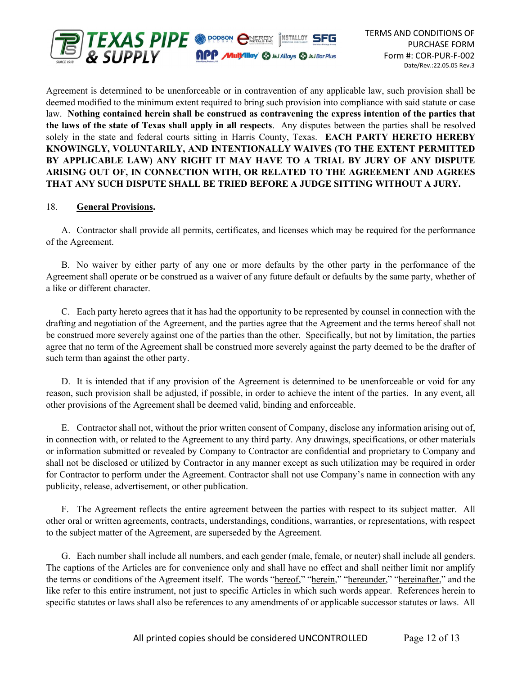

Agreement is determined to be unenforceable or in contravention of any applicable law, such provision shall be deemed modified to the minimum extent required to bring such provision into compliance with said statute or case law. Nothing contained herein shall be construed as contravening the express intention of the parties that the laws of the state of Texas shall apply in all respects. Any disputes between the parties shall be resolved solely in the state and federal courts sitting in Harris County, Texas. **EACH PARTY HERETO HEREBY** KNOWINGLY, VOLUNTARILY, AND INTENTIONALLY WAIVES (TO THE EXTENT PERMITTED BY APPLICABLE LAW) ANY RIGHT IT MAY HAVE TO A TRIAL BY JURY OF ANY DISPUTE ARISING OUT OF, IN CONNECTION WITH, OR RELATED TO THE AGREEMENT AND AGREES THAT ANY SUCH DISPUTE SHALL BE TRIED BEFORE A JUDGE SITTING WITHOUT A JURY.

#### 18. General Provisions.

A. Contractor shall provide all permits, certificates, and licenses which may be required for the performance of the Agreement.

B. No waiver by either party of any one or more defaults by the other party in the performance of the Agreement shall operate or be construed as a waiver of any future default or defaults by the same party, whether of a like or different character.

C. Each party hereto agrees that it has had the opportunity to be represented by counsel in connection with the drafting and negotiation of the Agreement, and the parties agree that the Agreement and the terms hereof shall not be construed more severely against one of the parties than the other. Specifically, but not by limitation, the parties agree that no term of the Agreement shall be construed more severely against the party deemed to be the drafter of such term than against the other party.

D. It is intended that if any provision of the Agreement is determined to be unenforceable or void for any reason, such provision shall be adjusted, if possible, in order to achieve the intent of the parties. In any event, all other provisions of the Agreement shall be deemed valid, binding and enforceable.

E. Contractor shall not, without the prior written consent of Company, disclose any information arising out of, in connection with, or related to the Agreement to any third party. Any drawings, specifications, or other materials or information submitted or revealed by Company to Contractor are confidential and proprietary to Company and shall not be disclosed or utilized by Contractor in any manner except as such utilization may be required in order for Contractor to perform under the Agreement. Contractor shall not use Company's name in connection with any publicity, release, advertisement, or other publication.

F. The Agreement reflects the entire agreement between the parties with respect to its subject matter. All other oral or written agreements, contracts, understandings, conditions, warranties, or representations, with respect to the subject matter of the Agreement, are superseded by the Agreement.

G. Each number shall include all numbers, and each gender (male, female, or neuter) shall include all genders. The captions of the Articles are for convenience only and shall have no effect and shall neither limit nor amplify the terms or conditions of the Agreement itself. The words "hereof," "herein," "hereunder," "hereinafter," and the like refer to this entire instrument, not just to specific Articles in which such words appear. References herein to specific statutes or laws shall also be references to any amendments of or applicable successor statutes or laws. All